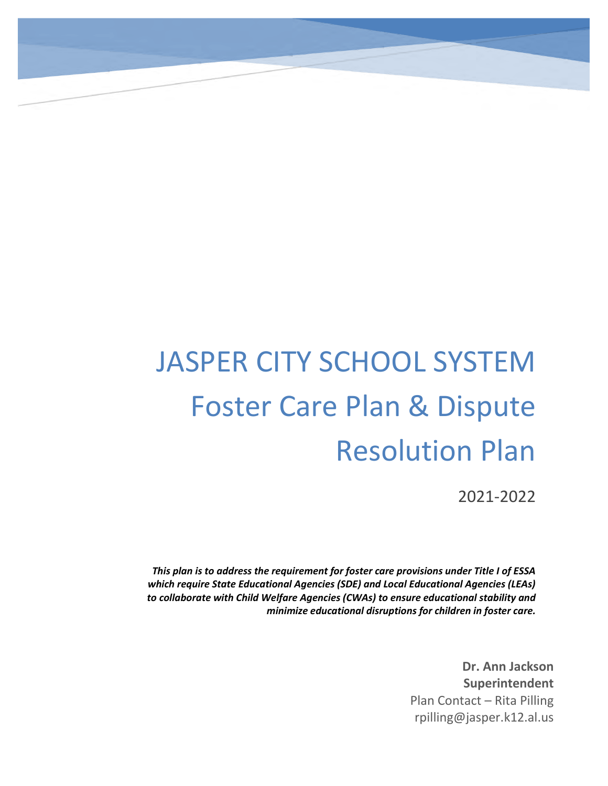# JASPER CITY SCHOOL SYSTEM Foster Care Plan & Dispute Resolution Plan

2021-2022

*This plan is to address the requirement for foster care provisions under Title I of ESSA which require State Educational Agencies (SDE) and Local Educational Agencies (LEAs) to collaborate with Child Welfare Agencies (CWAs) to ensure educational stability and minimize educational disruptions for children in foster care.*

> **Dr. Ann Jackson Superintendent** Plan Contact – Rita Pilling rpilling@jasper.k12.al.us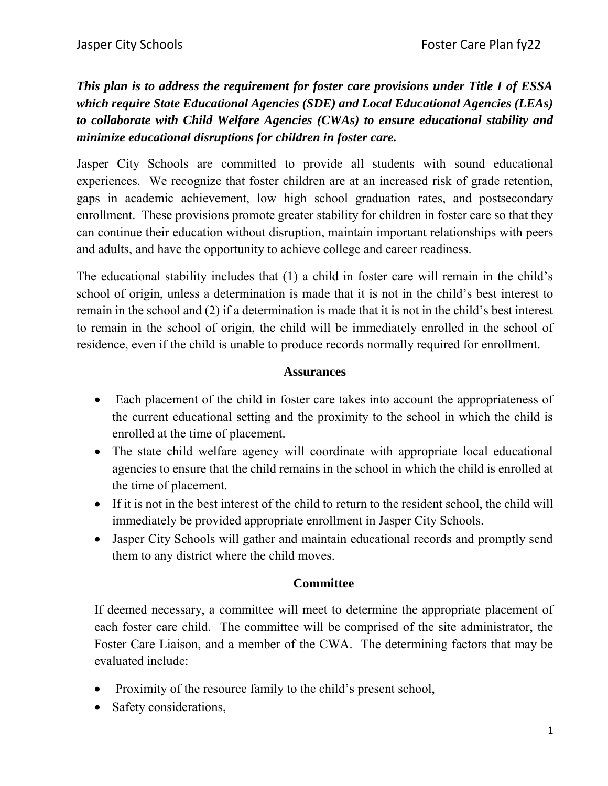*This plan is to address the requirement for foster care provisions under Title I of ESSA which require State Educational Agencies (SDE) and Local Educational Agencies (LEAs) to collaborate with Child Welfare Agencies (CWAs) to ensure educational stability and minimize educational disruptions for children in foster care.*

Jasper City Schools are committed to provide all students with sound educational experiences. We recognize that foster children are at an increased risk of grade retention, gaps in academic achievement, low high school graduation rates, and postsecondary enrollment. These provisions promote greater stability for children in foster care so that they can continue their education without disruption, maintain important relationships with peers and adults, and have the opportunity to achieve college and career readiness.

The educational stability includes that (1) a child in foster care will remain in the child's school of origin, unless a determination is made that it is not in the child's best interest to remain in the school and (2) if a determination is made that it is not in the child's best interest to remain in the school of origin, the child will be immediately enrolled in the school of residence, even if the child is unable to produce records normally required for enrollment.

# **Assurances**

- Each placement of the child in foster care takes into account the appropriateness of the current educational setting and the proximity to the school in which the child is enrolled at the time of placement.
- The state child welfare agency will coordinate with appropriate local educational agencies to ensure that the child remains in the school in which the child is enrolled at the time of placement.
- If it is not in the best interest of the child to return to the resident school, the child will immediately be provided appropriate enrollment in Jasper City Schools.
- Jasper City Schools will gather and maintain educational records and promptly send them to any district where the child moves.

## **Committee**

If deemed necessary, a committee will meet to determine the appropriate placement of each foster care child. The committee will be comprised of the site administrator, the Foster Care Liaison, and a member of the CWA. The determining factors that may be evaluated include:

- Proximity of the resource family to the child's present school,
- Safety considerations,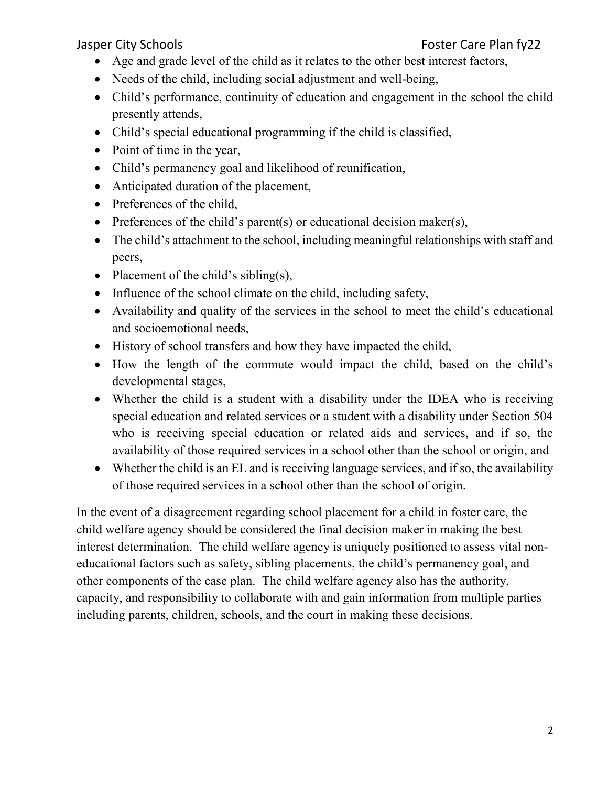# Jasper City Schools **Foster Care Plan fy**

- Age and grade level of the child as it relates to the other best interest factors,
- Needs of the child, including social adjustment and well-being,
- Child's performance, continuity of education and engagement in the school the child presently attends,
- Child's special educational programming if the child is classified,
- Point of time in the year,
- Child's permanency goal and likelihood of reunification,
- Anticipated duration of the placement,
- Preferences of the child,
- Preferences of the child's parent(s) or educational decision maker(s),
- The child's attachment to the school, including meaningful relationships with staff and peers,
- Placement of the child's sibling(s),
- Influence of the school climate on the child, including safety,
- Availability and quality of the services in the school to meet the child's educational and socioemotional needs,
- History of school transfers and how they have impacted the child,
- How the length of the commute would impact the child, based on the child's developmental stages,
- Whether the child is a student with a disability under the IDEA who is receiving special education and related services or a student with a disability under Section 504 who is receiving special education or related aids and services, and if so, the availability of those required services in a school other than the school or origin, and
- Whether the child is an EL and is receiving language services, and if so, the availability of those required services in a school other than the school of origin.

In the event of a disagreement regarding school placement for a child in foster care, the child welfare agency should be considered the final decision maker in making the best interest determination. The child welfare agency is uniquely positioned to assess vital noneducational factors such as safety, sibling placements, the child's permanency goal, and other components of the case plan. The child welfare agency also has the authority, capacity, and responsibility to collaborate with and gain information from multiple parties including parents, children, schools, and the court in making these decisions.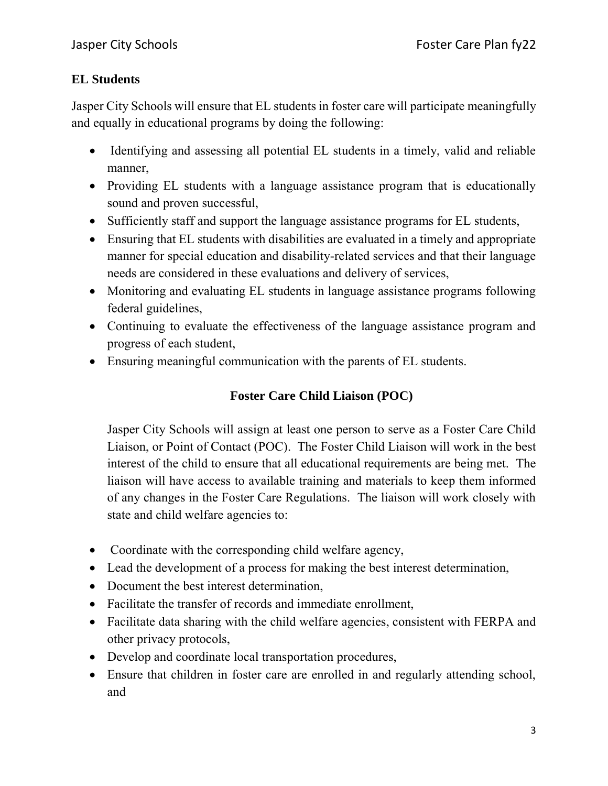# **EL Students**

Jasper City Schools will ensure that EL students in foster care will participate meaningfully and equally in educational programs by doing the following:

- Identifying and assessing all potential EL students in a timely, valid and reliable manner,
- Providing EL students with a language assistance program that is educationally sound and proven successful,
- Sufficiently staff and support the language assistance programs for EL students,
- Ensuring that EL students with disabilities are evaluated in a timely and appropriate manner for special education and disability-related services and that their language needs are considered in these evaluations and delivery of services,
- Monitoring and evaluating EL students in language assistance programs following federal guidelines,
- Continuing to evaluate the effectiveness of the language assistance program and progress of each student,
- Ensuring meaningful communication with the parents of EL students.

# **Foster Care Child Liaison (POC)**

Jasper City Schools will assign at least one person to serve as a Foster Care Child Liaison, or Point of Contact (POC). The Foster Child Liaison will work in the best interest of the child to ensure that all educational requirements are being met. The liaison will have access to available training and materials to keep them informed of any changes in the Foster Care Regulations. The liaison will work closely with state and child welfare agencies to:

- Coordinate with the corresponding child welfare agency,
- Lead the development of a process for making the best interest determination,
- Document the best interest determination,
- Facilitate the transfer of records and immediate enrollment,
- Facilitate data sharing with the child welfare agencies, consistent with FERPA and other privacy protocols,
- Develop and coordinate local transportation procedures,
- Ensure that children in foster care are enrolled in and regularly attending school, and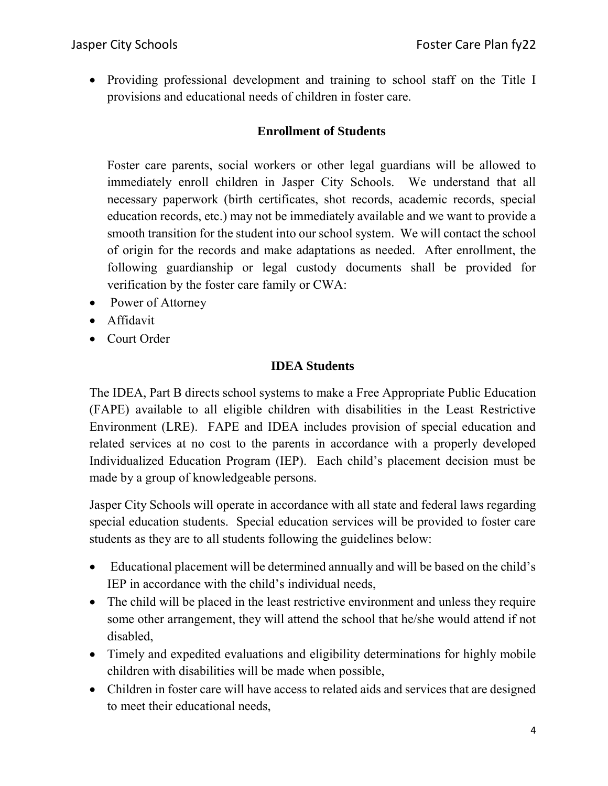Providing professional development and training to school staff on the Title I provisions and educational needs of children in foster care.

# **Enrollment of Students**

Foster care parents, social workers or other legal guardians will be allowed to immediately enroll children in Jasper City Schools. We understand that all necessary paperwork (birth certificates, shot records, academic records, special education records, etc.) may not be immediately available and we want to provide a smooth transition for the student into our school system. We will contact the school of origin for the records and make adaptations as needed. After enrollment, the following guardianship or legal custody documents shall be provided for verification by the foster care family or CWA:

- Power of Attorney
- Affidavit
- Court Order

## **IDEA Students**

The IDEA, Part B directs school systems to make a Free Appropriate Public Education (FAPE) available to all eligible children with disabilities in the Least Restrictive Environment (LRE). FAPE and IDEA includes provision of special education and related services at no cost to the parents in accordance with a properly developed Individualized Education Program (IEP). Each child's placement decision must be made by a group of knowledgeable persons.

Jasper City Schools will operate in accordance with all state and federal laws regarding special education students. Special education services will be provided to foster care students as they are to all students following the guidelines below:

- Educational placement will be determined annually and will be based on the child's IEP in accordance with the child's individual needs,
- The child will be placed in the least restrictive environment and unless they require some other arrangement, they will attend the school that he/she would attend if not disabled,
- Timely and expedited evaluations and eligibility determinations for highly mobile children with disabilities will be made when possible,
- Children in foster care will have access to related aids and services that are designed to meet their educational needs,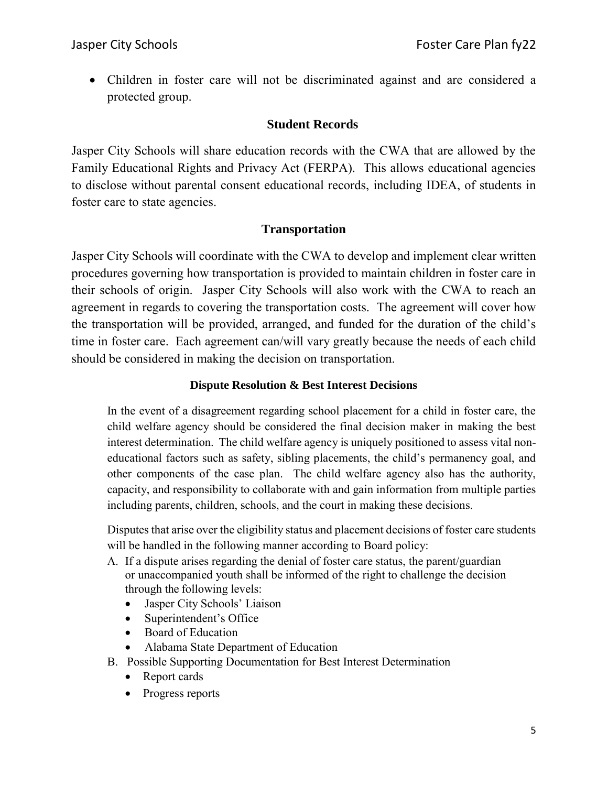Children in foster care will not be discriminated against and are considered a protected group.

## **Student Records**

Jasper City Schools will share education records with the CWA that are allowed by the Family Educational Rights and Privacy Act (FERPA). This allows educational agencies to disclose without parental consent educational records, including IDEA, of students in foster care to state agencies.

## **Transportation**

Jasper City Schools will coordinate with the CWA to develop and implement clear written procedures governing how transportation is provided to maintain children in foster care in their schools of origin. Jasper City Schools will also work with the CWA to reach an agreement in regards to covering the transportation costs. The agreement will cover how the transportation will be provided, arranged, and funded for the duration of the child's time in foster care. Each agreement can/will vary greatly because the needs of each child should be considered in making the decision on transportation.

## **Dispute Resolution & Best Interest Decisions**

In the event of a disagreement regarding school placement for a child in foster care, the child welfare agency should be considered the final decision maker in making the best interest determination. The child welfare agency is uniquely positioned to assess vital noneducational factors such as safety, sibling placements, the child's permanency goal, and other components of the case plan. The child welfare agency also has the authority, capacity, and responsibility to collaborate with and gain information from multiple parties including parents, children, schools, and the court in making these decisions.

Disputes that arise over the eligibility status and placement decisions of foster care students will be handled in the following manner according to Board policy:

- A. If a dispute arises regarding the denial of foster care status, the parent/guardian or unaccompanied youth shall be informed of the right to challenge the decision through the following levels:
	- Jasper City Schools' Liaison
	- Superintendent's Office
	- Board of Education
	- Alabama State Department of Education
- B. Possible Supporting Documentation for Best Interest Determination
	- Report cards
	- Progress reports